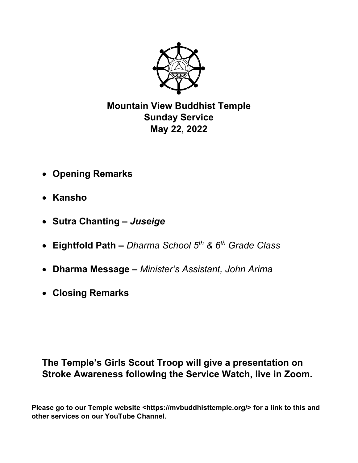

**Mountain View Buddhist Temple Sunday Service May 22, 2022** 

- **Opening Remarks**
- **Kansho**
- **Sutra Chanting** *Juseige*
- **Eightfold Path** *Dharma School 5th & 6th Grade Class*
- **Dharma Message** *Minister's Assistant, John Arima*
- **Closing Remarks**

# **The Temple's Girls Scout Troop will give a presentation on Stroke Awareness following the Service Watch, live in Zoom.**

Please go to our Temple website <https://mvbuddhisttemple.org/> for a link to this and **other services on our YouTube Channel.**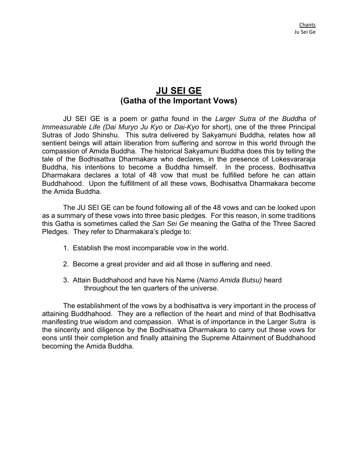## **JU SEI GE (Gatha of the Important Vows)**

JU SEI GE is a poem or *gatha* found in the *Larger Sutra of the Buddha of Immeasurable Life (Dai Muryo Ju Kyo* or *Dai-Kyo* for short), one of the three Principal Sutras of Jodo Shinshu. This sutra delivered by Sakyamuni Buddha, relates how all sentient beings will attain liberation from suffering and sorrow in this world through the compassion of Amida Buddha. The historical Sakyamuni Buddha does this by telling the tale of the Bodhisattva Dharmakara who declares, in the presence of Lokesvararaja Buddha, his intentions to become a Buddha himself. In the process, Bodhisattva Dharmakara declares a total of 48 vow that must be fulfilled before he can attain Buddhahood. Upon the fulfillment of all these vows, Bodhisattva Dharmakara become the Amida Buddha.

 The JU SEI GE can be found following all of the 48 vows and can be looked upon as a summary of these vows into three basic pledges. For this reason, in some traditions this Gatha is sometimes called the *San Sei Ge* meaning the Gatha of the Three Sacred Pledges. They refer to Dharmakara's pledge to:

- 1. Establish the most incomparable vow in the world.
- 2. Become a great provider and aid all those in suffering and need.
- 3. Attain Buddhahood and have his Name (*Namo Amida Butsu)* heard throughout the ten quarters of the universe.

The establishment of the vows by a bodhisattva is very important in the process of attaining Buddhahood. They are a reflection of the heart and mind of that Bodhisattva manifesting true wisdom and compassion. What is of importance in the Larger Sutra is the sincerity and diligence by the Bodhisattva Dharmakara to carry out these vows for eons until their completion and finally attaining the Supreme Attainment of Buddhahood becoming the Amida Buddha.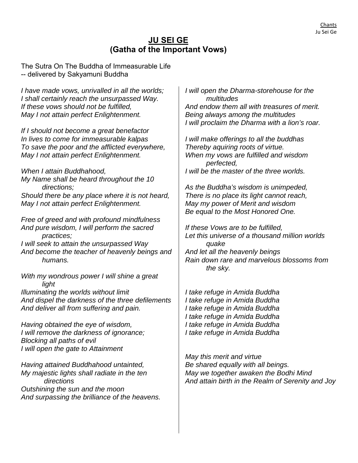### **JU SEI GE (Gatha of the Important Vows)**

The Sutra On The Buddha of Immeasurable Life -- delivered by Sakyamuni Buddha

*I have made vows, unrivalled in all the worlds; I shall certainly reach the unsurpassed Way. If these vows should not be fulfilled, May I not attain perfect Enlightenment.* 

*If I should not become a great benefactor In lives to come for immeasurable kalpas To save the poor and the afflicted everywhere, May I not attain perfect Enlightenment.* 

*When I attain Buddhahood, My Name shall be heard throughout the 10 directions; Should there be any place where it is not heard, May I not attain perfect Enlightenment.* 

*Free of greed and with profound mindfulness And pure wisdom, I will perform the sacred practices; I will seek to attain the unsurpassed Way And become the teacher of heavenly beings and humans.* 

*With my wondrous power I will shine a great light Illuminating the worlds without limit And dispel the darkness of the three defilements And deliver all from suffering and pain.* 

*Having obtained the eye of wisdom, I will remove the darkness of ignorance; Blocking all paths of evil I will open the gate to Attainment* 

*Having attained Buddhahood untainted, My majestic lights shall radiate in the ten directions Outshining the sun and the moon And surpassing the brilliance of the heavens.* 

*I will open the Dharma-storehouse for the multitudes And endow them all with treasures of merit. Being always among the multitudes I will proclaim the Dharma with a lion's roar.* 

*I will make offerings to all the buddhas Thereby aquiring roots of virtue. When my vows are fulfilled and wisdom perfected, I will be the master of the three worlds.* 

*As the Buddha's wisdom is unimpeded, There is no place its light cannot reach, May my power of Merit and wisdom Be equal to the Most Honored One.* 

*If these Vows are to be fulfilled, Let this universe of a thousand million worlds quake And let all the heavenly beings Rain down rare and marvelous blossoms from the sky.* 

*I take refuge in Amida Buddha I take refuge in Amida Buddha I take refuge in Amida Buddha I take refuge in Amida Buddha I take refuge in Amida Buddha I take refuge in Amida Buddha* 

*May this merit and virtue Be shared equally with all beings. May we together awaken the Bodhi Mind And attain birth in the Realm of Serenity and Joy*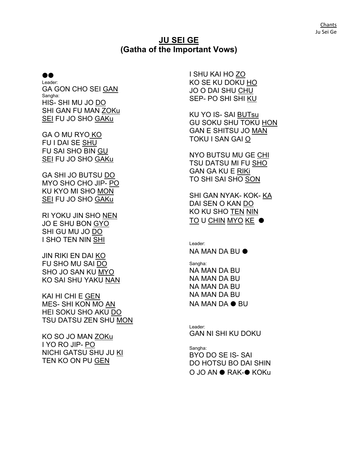#### **JU SEI GE (Gatha of the Important Vows)**

#### ⏺⏺

Leader: GA GON CHO SEI GAN Sangha: HIS- SHI MU JO DO SHI GAN FU MAN ZOKu SEI FU JO SHO GAKu

GA O MU RYO KO FU I DAI SE SHU FU SAI SHO BIN GU SEI FU JO SHO GAKu

GA SHI JO BUTSU DO MYO SHO CHO JIP- PO KU KYO MI SHO MON SEI FU JO SHO GAKu

RI YOKU JIN SHO NEN JO E SHU BON GYO SHI GU MU JO DO I SHO TEN NIN SHI

JIN RIKI EN DAI KO FU SHO MU SAI DO SHO JO SAN KU MYO KO SAI SHU YAKU NAN

KAI HI CHI E GEN MES- SHI KON MO AN HEI SOKU SHO AKU DO TSU DATSU ZEN SHU MON

KO SO JO MAN ZOKu I YO RO JIP- PO NICHI GATSU SHU JU KI TEN KO ON PU GEN

I SHU KAI HO ZO KO SE KU DOKU HO JO O DAI SHU CHU SEP- PO SHI SHI KU

KU YO IS- SAI BUTsu GU SOKU SHU TOKU HON GAN E SHITSU JO MAN TOKU I SAN GAI O

NYO BUTSU MU GE CHI TSU DATSU MI FU SHO GAN GA KU E RIKi TO SHI SAI SHO SON

SHI GAN NYAK- KOK- KA DAI SEN O KAN DO KO KU SHO TEN NIN <u>TO</u> U <u>CHIN MYO</u> KE ●

Leader: NA MAN DA BU ⏺ Sangha: NA MAN DA BU NA MAN DA BU NA MAN DA BU NA MAN DA BU NA MAN DA ⏺ BU

Leader: GAN NI SHI KU DOKU

Sangha: BYO DO SE IS- SAI DO HOTSU BO DAI SHIN O JO AN ⏺ RAK-⏺ KOKu